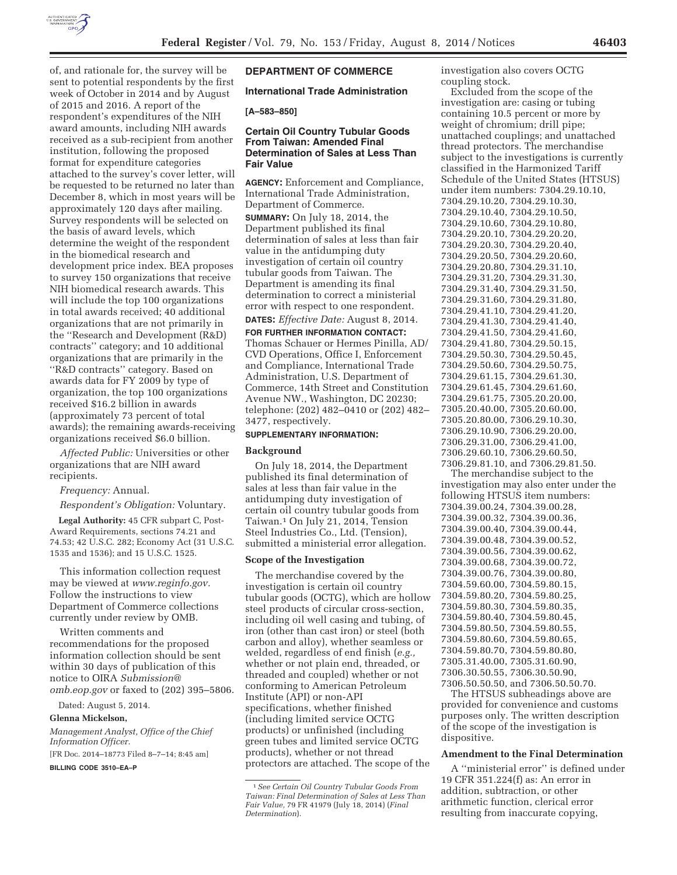

of, and rationale for, the survey will be sent to potential respondents by the first week of October in 2014 and by August of 2015 and 2016. A report of the respondent's expenditures of the NIH award amounts, including NIH awards received as a sub-recipient from another institution, following the proposed format for expenditure categories attached to the survey's cover letter, will be requested to be returned no later than December 8, which in most years will be approximately 120 days after mailing. Survey respondents will be selected on the basis of award levels, which determine the weight of the respondent in the biomedical research and development price index. BEA proposes to survey 150 organizations that receive NIH biomedical research awards. This will include the top 100 organizations in total awards received; 40 additional organizations that are not primarily in the ''Research and Development (R&D) contracts'' category; and 10 additional organizations that are primarily in the ''R&D contracts'' category. Based on awards data for FY 2009 by type of organization, the top 100 organizations received \$16.2 billion in awards (approximately 73 percent of total awards); the remaining awards-receiving organizations received \$6.0 billion.

*Affected Public:* Universities or other organizations that are NIH award recipients.

# *Frequency:* Annual.

*Respondent's Obligation:* Voluntary.

**Legal Authority:** 45 CFR subpart C, Post-Award Requirements, sections 74.21 and 74.53; 42 U.S.C. 282; Economy Act (31 U.S.C. 1535 and 1536); and 15 U.S.C. 1525.

This information collection request may be viewed at *www.reginfo.gov.*  Follow the instructions to view Department of Commerce collections currently under review by OMB.

Written comments and recommendations for the proposed information collection should be sent within 30 days of publication of this notice to OIRA *Submission@ omb.eop.gov* or faxed to (202) 395–5806.

Dated: August 5, 2014.

#### **Glenna Mickelson,**

*Management Analyst, Office of the Chief Information Officer.* 

[FR Doc. 2014–18773 Filed 8–7–14; 8:45 am] **BILLING CODE 3510–EA–P** 

# **DEPARTMENT OF COMMERCE**

#### **International Trade Administration**

#### **[A–583–850]**

# **Certain Oil Country Tubular Goods From Taiwan: Amended Final Determination of Sales at Less Than Fair Value**

**AGENCY:** Enforcement and Compliance, International Trade Administration, Department of Commerce.

**SUMMARY:** On July 18, 2014, the Department published its final determination of sales at less than fair value in the antidumping duty investigation of certain oil country tubular goods from Taiwan. The Department is amending its final determination to correct a ministerial error with respect to one respondent.

**DATES:** *Effective Date:* August 8, 2014.

**FOR FURTHER INFORMATION CONTACT:**  Thomas Schauer or Hermes Pinilla, AD/ CVD Operations, Office I, Enforcement and Compliance, International Trade Administration, U.S. Department of Commerce, 14th Street and Constitution Avenue NW., Washington, DC 20230; telephone: (202) 482–0410 or (202) 482– 3477, respectively.

## **SUPPLEMENTARY INFORMATION:**

#### **Background**

On July 18, 2014, the Department published its final determination of sales at less than fair value in the antidumping duty investigation of certain oil country tubular goods from Taiwan.1 On July 21, 2014, Tension Steel Industries Co., Ltd. (Tension), submitted a ministerial error allegation.

## **Scope of the Investigation**

The merchandise covered by the investigation is certain oil country tubular goods (OCTG), which are hollow steel products of circular cross-section, including oil well casing and tubing, of iron (other than cast iron) or steel (both carbon and alloy), whether seamless or welded, regardless of end finish (*e.g.,*  whether or not plain end, threaded, or threaded and coupled) whether or not conforming to American Petroleum Institute (API) or non-API specifications, whether finished (including limited service OCTG products) or unfinished (including green tubes and limited service OCTG products), whether or not thread protectors are attached. The scope of the investigation also covers OCTG coupling stock.

Excluded from the scope of the investigation are: casing or tubing containing 10.5 percent or more by weight of chromium; drill pipe; unattached couplings; and unattached thread protectors. The merchandise subject to the investigations is currently classified in the Harmonized Tariff Schedule of the United States (HTSUS) under item numbers: 7304.29.10.10, 7304.29.10.20, 7304.29.10.30, 7304.29.10.40, 7304.29.10.50, 7304.29.10.60, 7304.29.10.80, 7304.29.20.10, 7304.29.20.20, 7304.29.20.30, 7304.29.20.40, 7304.29.20.50, 7304.29.20.60, 7304.29.20.80, 7304.29.31.10, 7304.29.31.20, 7304.29.31.30, 7304.29.31.40, 7304.29.31.50, 7304.29.31.60, 7304.29.31.80, 7304.29.41.10, 7304.29.41.20, 7304.29.41.30, 7304.29.41.40, 7304.29.41.50, 7304.29.41.60, 7304.29.41.80, 7304.29.50.15, 7304.29.50.30, 7304.29.50.45, 7304.29.50.60, 7304.29.50.75, 7304.29.61.15, 7304.29.61.30, 7304.29.61.45, 7304.29.61.60, 7304.29.61.75, 7305.20.20.00, 7305.20.40.00, 7305.20.60.00, 7305.20.80.00, 7306.29.10.30, 7306.29.10.90, 7306.29.20.00, 7306.29.31.00, 7306.29.41.00, 7306.29.60.10, 7306.29.60.50, 7306.29.81.10, and 7306.29.81.50.

The merchandise subject to the investigation may also enter under the following HTSUS item numbers: 7304.39.00.24, 7304.39.00.28, 7304.39.00.32, 7304.39.00.36, 7304.39.00.40, 7304.39.00.44, 7304.39.00.48, 7304.39.00.52, 7304.39.00.56, 7304.39.00.62, 7304.39.00.68, 7304.39.00.72, 7304.39.00.76, 7304.39.00.80, 7304.59.60.00, 7304.59.80.15, 7304.59.80.20, 7304.59.80.25, 7304.59.80.30, 7304.59.80.35, 7304.59.80.40, 7304.59.80.45, 7304.59.80.50, 7304.59.80.55, 7304.59.80.60, 7304.59.80.65, 7304.59.80.70, 7304.59.80.80, 7305.31.40.00, 7305.31.60.90, 7306.30.50.55, 7306.30.50.90,

7306.50.50.50, and 7306.50.50.70. The HTSUS subheadings above are provided for convenience and customs purposes only. The written description of the scope of the investigation is dispositive.

#### **Amendment to the Final Determination**

A ''ministerial error'' is defined under 19 CFR 351.224(f) as: An error in addition, subtraction, or other arithmetic function, clerical error resulting from inaccurate copying,

<sup>1</sup>*See Certain Oil Country Tubular Goods From Taiwan: Final Determination of Sales at Less Than Fair Value,* 79 FR 41979 (July 18, 2014) (*Final Determination*).